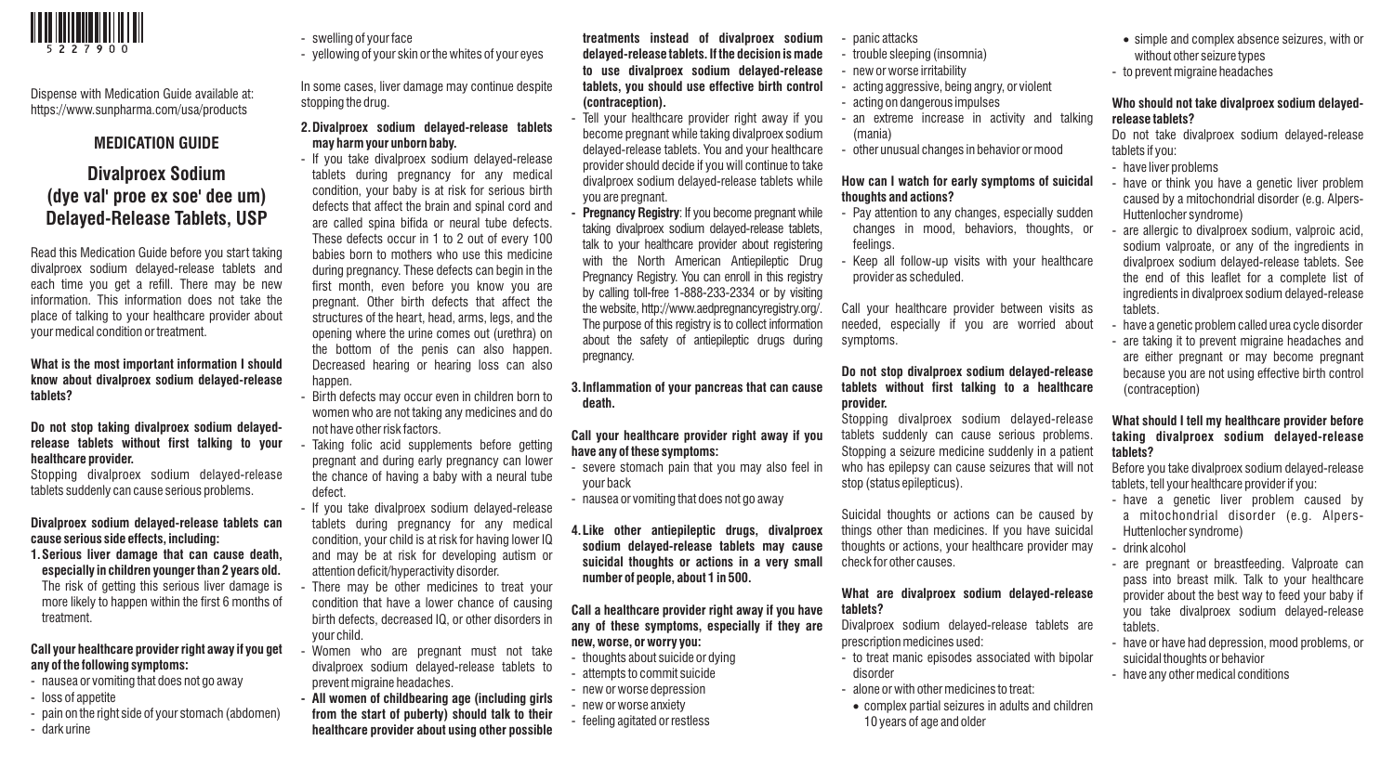

Dispense with Medication Guide available at: https://www.sunpharma.com/usa/products

# **MEDICATION GUIDE**

# **Divalproex Sodium (dye val' proe ex soe' dee um) Delayed-Release Tablets, USP**

Read this Medication Guide before you start taking divalproex sodium delayed-release tablets and each time you get a refill. There may be new information. This information does not take the place of talking to your healthcare provider about your medical condition or treatment.

#### **What is the most important information I should know about divalproex sodium delayed-release tablets?**

#### **Do not stop taking divalproex sodium delayedrelease tablets without first talking to your healthcare provider.**

Stopping divalproex sodium delayed-release tablets suddenly can cause serious problems.

#### **Divalproex sodium delayed-release tablets can cause serious side effects, including:**

**1. Serious liver damage that can cause death, especially in children younger than 2 years old.** The risk of getting this serious liver damage is more likely to happen within the first 6 months of treatment.

# **Call your healthcare provider right away if you get any of the following symptoms:**

- nausea or vomiting that does not go away
- loss of appetite
- pain on the right side of your stomach (abdomen)
- dark urine
- swelling of your face
- yellowing of your skin or the whites of your eyes

In some cases, liver damage may continue despite stopping the drug.

# **2.Divalproex sodium delayed-release tablets may harm your unborn baby.**

- If you take divalproex sodium delayed-release tablets during pregnancy for any medical condition, your baby is at risk for serious birth defects that affect the brain and spinal cord and are called spina bifida or neural tube defects. These defects occur in 1 to 2 out of every 100 babies born to mothers who use this medicine during pregnancy. These defects can begin in the first month, even before you know you are pregnant. Other birth defects that affect the structures of the heart, head, arms, legs, and the opening where the urine comes out (urethra) on the bottom of the penis can also happen. Decreased hearing or hearing loss can also happen.
- Birth defects may occur even in children born to women who are not taking any medicines and do not have other risk factors.
- Taking folic acid supplements before getting pregnant and during early pregnancy can lower the chance of having a baby with a neural tube defect.
- If you take divalproex sodium delayed-release tablets during pregnancy for any medical condition, your child is at risk for having lower IQ and may be at risk for developing autism or attention deficit/hyperactivity disorder.
- There may be other medicines to treat your condition that have a lower chance of causing birth defects, decreased IQ, or other disorders in your child.
- Women who are pregnant must not take divalproex sodium delayed-release tablets to prevent migraine headaches.
- **All women of childbearing age (including girls from the start of puberty) should talk to their healthcare provider about using other possible**

#### **treatments instead of divalproex sodium delayed-release tablets. If the decision is made to use divalproex sodium delayed-release tablets, you should use effective birth control (contraception).**

- Tell your healthcare provider right away if you become pregnant while taking divalproex sodium delayed-release tablets. You and your healthcare provider should decide if you will continue to take divalproex sodium delayed-release tablets while you are pregnant.
- **Pregnancy Registry:** If you become pregnant while taking divalproex sodium delayed-release tablets, talk to your healthcare provider about registering with the North American Antiepileptic Drug Pregnancy Registry. You can enroll in this registry by calling toll-free 1-888-233-2334 or by visiting the website, http://www.aedpregnancyregistry.org/. The purpose of this registry is to collect information about the safety of antiepileptic drugs during pregnancy.

# **3. Inflammation of your pancreas that can cause death.**

#### **Call your healthcare provider right away if you have any of these symptoms:**

- severe stomach pain that you may also feel in your back
- nausea or vomiting that does not go away
- **4. Like other antiepileptic drugs, divalproex sodium delayed-release tablets may cause suicidal thoughts or actions in a very small number of people, about 1 in 500.**

# **Call a healthcare provider right away if you have any of these symptoms, especially if they are new, worse, or worry you:**

- thoughts about suicide or dying
- attempts to commit suicide
- new or worse depression
- new or worse anxiety
- feeling agitated or restless
- panic attacks
- trouble sleeping (insomnia)
- new or worse irritability
- acting aggressive, being angry, or violent
- acting on dangerous impulses
- an extreme increase in activity and talking (mania)
- other unusual changes in behavior or mood

# **How can I watch for early symptoms of suicidal thoughts and actions?**

- Pay attention to any changes, especially sudden changes in mood, behaviors, thoughts, or feelings.
- Keep all follow-up visits with your healthcare provider as scheduled.

Call your healthcare provider between visits as needed, especially if you are worried about symptoms.

#### **Do not stop divalproex sodium delayed-release tablets without first talking to a healthcare provider.**

Stopping divalproex sodium delayed-release tablets suddenly can cause serious problems. Stopping a seizure medicine suddenly in a patient who has epilepsy can cause seizures that will not stop (status epilepticus).

Suicidal thoughts or actions can be caused by things other than medicines. If you have suicidal thoughts or actions, your healthcare provider may check for other causes.

#### **What are divalproex sodium delayed-release tablets?**

Divalproex sodium delayed-release tablets are prescription medicines used:

- to treat manic episodes associated with bipolar disorder
- alone or with other medicines to treat:
- complex partial seizures in adults and children 10 years of age and older
- simple and complex absence seizures, with or without other seizure types
- to prevent migraine headaches

#### **Who should not take divalproex sodium delayedrelease tablets?**

Do not take divalproex sodium delayed-release tablets if you:

- have liver problems
- have or think you have a genetic liver problem caused by a mitochondrial disorder (e.g. Alpers-Huttenlocher syndrome)
- are allergic to divalproex sodium, valproic acid, sodium valproate, or any of the ingredients in divalproex sodium delayed-release tablets. See the end of this leaflet for a complete list of ingredients in divalproex sodium delayed-release tablets.
- have a genetic problem called urea cycle disorder

- are taking it to prevent migraine headaches and are either pregnant or may become pregnant because you are not using effective birth control (contraception)

#### **What should I tell my healthcare provider before taking divalproex sodium delayed-release tablets?**

Before you take divalproex sodium delayed-release tablets, tell your healthcare provider if you:

- have a genetic liver problem caused by a mitochondrial disorder (e.g. Alpers-Huttenlocher syndrome)
- drink alcohol
- are pregnant or breastfeeding. Valproate can pass into breast milk. Talk to your healthcare provider about the best way to feed your baby if you take divalproex sodium delayed-release tablets.
- have or have had depression, mood problems, or suicidal thoughts or behavior
- have any other medical conditions
-